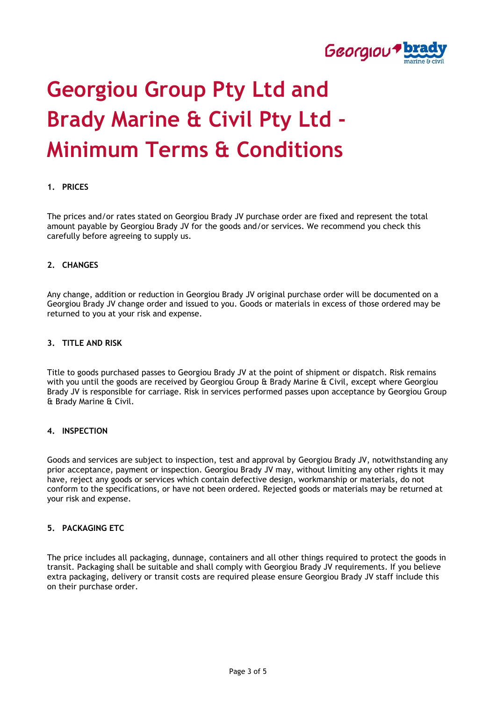

# **Georgiou Group Pty Ltd and Brady Marine & Civil Pty Ltd - Minimum Terms & Conditions**

# **1. PRICES**

The prices and/or rates stated on Georgiou Brady JV purchase order are fixed and represent the total amount payable by Georgiou Brady JV for the goods and/or services. We recommend you check this carefully before agreeing to supply us.

#### **2. CHANGES**

Any change, addition or reduction in Georgiou Brady JV original purchase order will be documented on a Georgiou Brady JV change order and issued to you. Goods or materials in excess of those ordered may be returned to you at your risk and expense.

# **3. TITLE AND RISK**

Title to goods purchased passes to Georgiou Brady JV at the point of shipment or dispatch. Risk remains with you until the goods are received by Georgiou Group & Brady Marine & Civil, except where Georgiou Brady JV is responsible for carriage. Risk in services performed passes upon acceptance by Georgiou Group & Brady Marine & Civil.

#### **4. INSPECTION**

Goods and services are subject to inspection, test and approval by Georgiou Brady JV, notwithstanding any prior acceptance, payment or inspection. Georgiou Brady JV may, without limiting any other rights it may have, reject any goods or services which contain defective design, workmanship or materials, do not conform to the specifications, or have not been ordered. Rejected goods or materials may be returned at your risk and expense.

#### **5. PACKAGING ETC**

The price includes all packaging, dunnage, containers and all other things required to protect the goods in transit. Packaging shall be suitable and shall comply with Georgiou Brady JV requirements. If you believe extra packaging, delivery or transit costs are required please ensure Georgiou Brady JV staff include this on their purchase order.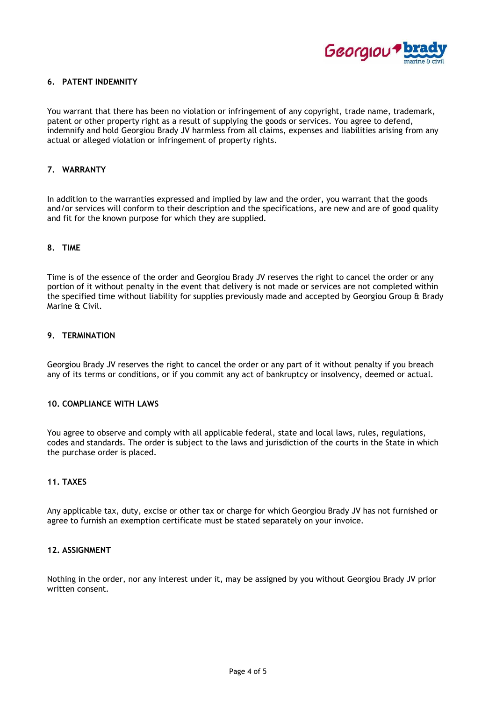

# **6. PATENT INDEMNITY**

You warrant that there has been no violation or infringement of any copyright, trade name, trademark, patent or other property right as a result of supplying the goods or services. You agree to defend, indemnify and hold Georgiou Brady JV harmless from all claims, expenses and liabilities arising from any actual or alleged violation or infringement of property rights.

# **7. WARRANTY**

In addition to the warranties expressed and implied by law and the order, you warrant that the goods and/or services will conform to their description and the specifications, are new and are of good quality and fit for the known purpose for which they are supplied.

#### **8. TIME**

Time is of the essence of the order and Georgiou Brady JV reserves the right to cancel the order or any portion of it without penalty in the event that delivery is not made or services are not completed within the specified time without liability for supplies previously made and accepted by Georgiou Group & Brady Marine & Civil.

# **9. TERMINATION**

Georgiou Brady JV reserves the right to cancel the order or any part of it without penalty if you breach any of its terms or conditions, or if you commit any act of bankruptcy or insolvency, deemed or actual.

#### **10. COMPLIANCE WITH LAWS**

You agree to observe and comply with all applicable federal, state and local laws, rules, regulations, codes and standards. The order is subject to the laws and jurisdiction of the courts in the State in which the purchase order is placed.

# **11. TAXES**

Any applicable tax, duty, excise or other tax or charge for which Georgiou Brady JV has not furnished or agree to furnish an exemption certificate must be stated separately on your invoice.

#### **12. ASSIGNMENT**

Nothing in the order, nor any interest under it, may be assigned by you without Georgiou Brady JV prior written consent.